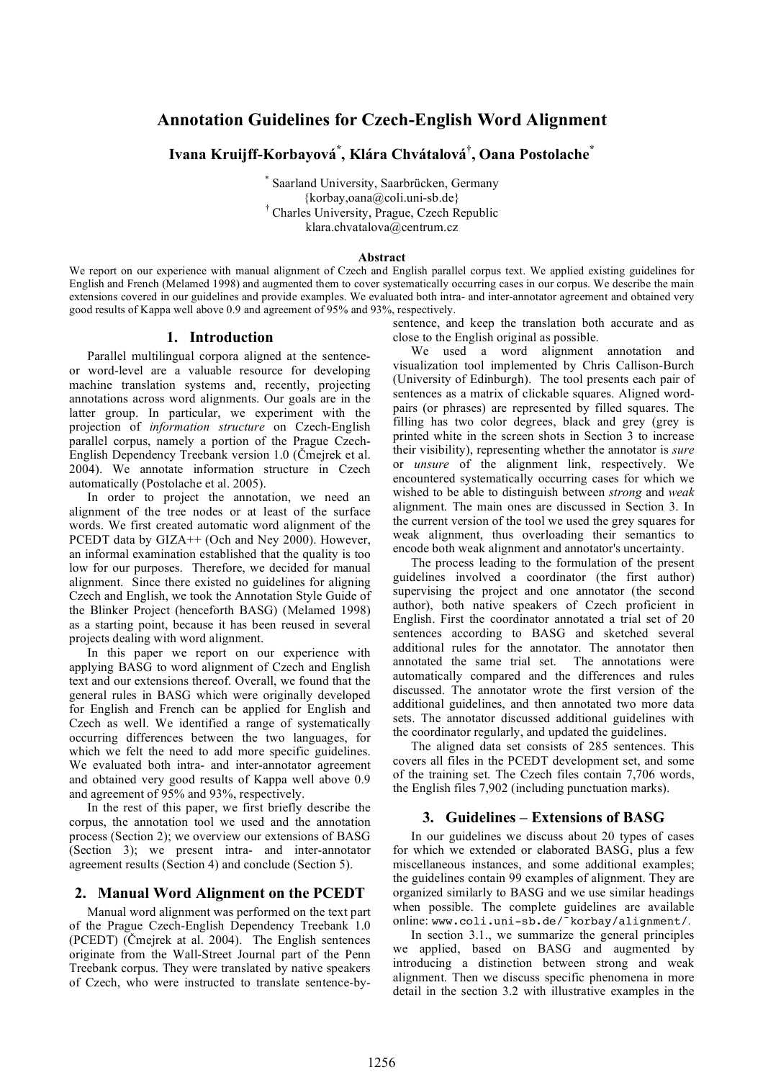# **Annotation Guidelines for Czech-English Word Alignment**

**Ivana Kruijff-Korbayová\* , Klára Chvátalová† , Oana Postolache \***

\* Saarland University, Saarbrücken, Germany {korbay,oana@coli.uni-sb.de} † Charles University, Prague, Czech Republic klara.chvatalova@centrum.cz

#### **Abstract**

We report on our experience with manual alignment of Czech and English parallel corpus text. We applied existing guidelines for English and French (Melamed 1998) and augmented them to cover systematically occurring cases in our corpus. We describe the main extensions covered in our guidelines and provide examples. We evaluated both intra- and inter-annotator agreement and obtained very good results of Kappa well above 0.9 and agreement of 95% and 93%, respectively.

## **1. Introduction**

Parallel multilingual corpora aligned at the sentenceor word-level are a valuable resource for developing machine translation systems and, recently, projecting annotations across word alignments. Our goals are in the latter group. In particular, we experiment with the projection of *information structure* on Czech-English parallel corpus, namely a portion of the Prague Czech-English Dependency Treebank version 1.0 (Čmejrek et al. 2004). We annotate information structure in Czech automatically (Postolache et al. 2005).

In order to project the annotation, we need an alignment of the tree nodes or at least of the surface words. We first created automatic word alignment of the PCEDT data by GIZA++ (Och and Ney 2000). However, an informal examination established that the quality is too low for our purposes. Therefore, we decided for manual alignment. Since there existed no guidelines for aligning Czech and English, we took the Annotation Style Guide of the Blinker Project (henceforth BASG) (Melamed 1998) as a starting point, because it has been reused in several projects dealing with word alignment.

In this paper we report on our experience with applying BASG to word alignment of Czech and English text and our extensions thereof. Overall, we found that the general rules in BASG which were originally developed for English and French can be applied for English and Czech as well. We identified a range of systematically occurring differences between the two languages, for which we felt the need to add more specific guidelines. We evaluated both intra- and inter-annotator agreement and obtained very good results of Kappa well above 0.9 and agreement of 95% and 93%, respectively.

In the rest of this paper, we first briefly describe the corpus, the annotation tool we used and the annotation process (Section 2); we overview our extensions of BASG (Section 3); we present intra- and inter-annotator agreement results (Section 4) and conclude (Section 5).

# **2. Manual Word Alignment on the PCEDT**

Manual word alignment was performed on the text part of the Prague Czech-English Dependency Treebank 1.0 (PCEDT) (Čmejrek at al. 2004). The English sentences originate from the Wall-Street Journal part of the Penn Treebank corpus. They were translated by native speakers of Czech, who were instructed to translate sentence-bysentence, and keep the translation both accurate and as close to the English original as possible.

We used a word alignment annotation and visualization tool implemented by Chris Callison-Burch (University of Edinburgh). The tool presents each pair of sentences as a matrix of clickable squares. Aligned wordpairs (or phrases) are represented by filled squares. The filling has two color degrees, black and grey (grey is printed white in the screen shots in Section 3 to increase their visibility), representing whether the annotator is *sure* or *unsure* of the alignment link, respectively. We encountered systematically occurring cases for which we wished to be able to distinguish between *strong* and *weak* alignment. The main ones are discussed in Section 3. In the current version of the tool we used the grey squares for weak alignment, thus overloading their semantics to encode both weak alignment and annotator's uncertainty.

The process leading to the formulation of the present guidelines involved a coordinator (the first author) supervising the project and one annotator (the second author), both native speakers of Czech proficient in English. First the coordinator annotated a trial set of 20 sentences according to BASG and sketched several additional rules for the annotator. The annotator then annotated the same trial set. The annotations were automatically compared and the differences and rules discussed. The annotator wrote the first version of the additional guidelines, and then annotated two more data sets. The annotator discussed additional guidelines with the coordinator regularly, and updated the guidelines.

The aligned data set consists of 285 sentences. This covers all files in the PCEDT development set, and some of the training set. The Czech files contain 7,706 words, the English files 7,902 (including punctuation marks).

# **3. Guidelines – Extensions of BASG**

In our guidelines we discuss about 20 types of cases for which we extended or elaborated BASG, plus a few miscellaneous instances, and some additional examples; the guidelines contain 99 examples of alignment. They are organized similarly to BASG and we use similar headings when possible. The complete guidelines are available online: www.coli.uni-sb.de/˜korbay/alignment/.

In section 3.1., we summarize the general principles we applied, based on BASG and augmented by introducing a distinction between strong and weak alignment. Then we discuss specific phenomena in more detail in the section 3.2 with illustrative examples in the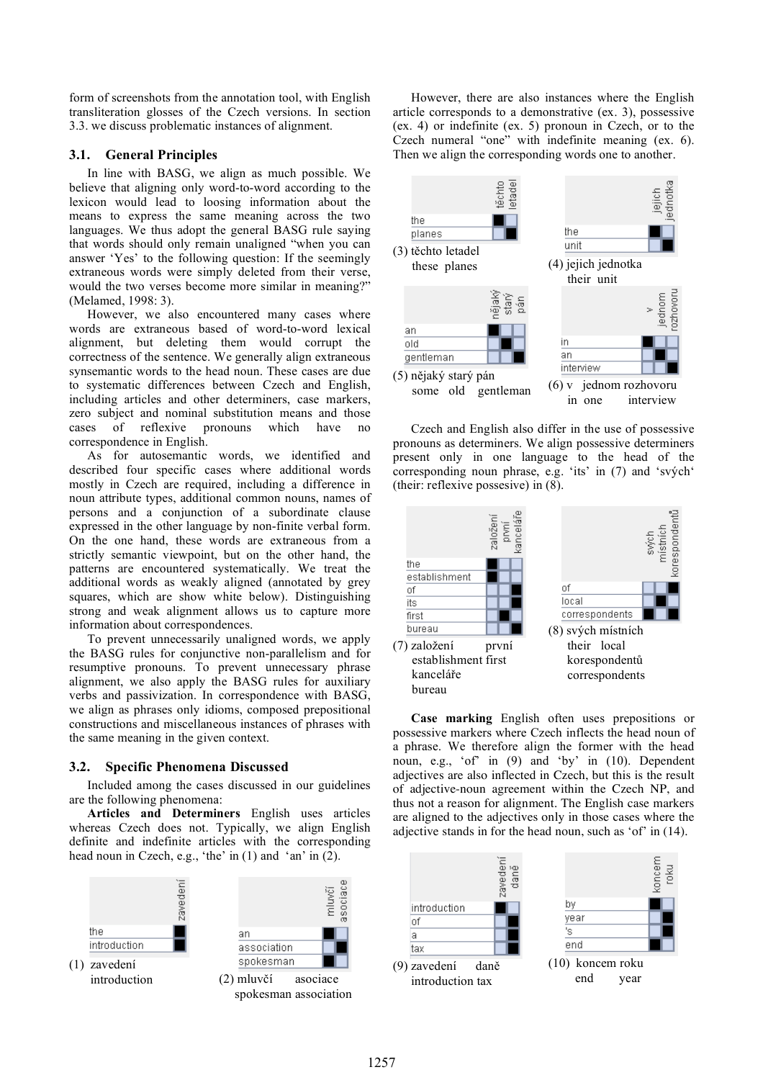form of screenshots from the annotation tool, with English transliteration glosses of the Czech versions. In section 3.3. we discuss problematic instances of alignment.

## **3.1. General Principles**

In line with BASG, we align as much possible. We believe that aligning only word-to-word according to the lexicon would lead to loosing information about the means to express the same meaning across the two languages. We thus adopt the general BASG rule saying that words should only remain unaligned "when you can answer 'Yes' to the following question: If the seemingly extraneous words were simply deleted from their verse, would the two verses become more similar in meaning?" (Melamed, 1998: 3).

However, we also encountered many cases where words are extraneous based of word-to-word lexical alignment, but deleting them would corrupt the correctness of the sentence. We generally align extraneous synsemantic words to the head noun. These cases are due to systematic differences between Czech and English, including articles and other determiners, case markers, zero subject and nominal substitution means and those cases of reflexive pronouns which have no correspondence in English.

As for autosemantic words, we identified and described four specific cases where additional words mostly in Czech are required, including a difference in noun attribute types, additional common nouns, names of persons and a conjunction of a subordinate clause expressed in the other language by non-finite verbal form. On the one hand, these words are extraneous from a strictly semantic viewpoint, but on the other hand, the patterns are encountered systematically. We treat the additional words as weakly aligned (annotated by grey squares, which are show white below). Distinguishing strong and weak alignment allows us to capture more information about correspondences.

To prevent unnecessarily unaligned words, we apply the BASG rules for conjunctive non-parallelism and for resumptive pronouns. To prevent unnecessary phrase alignment, we also apply the BASG rules for auxiliary verbs and passivization. In correspondence with BASG, we align as phrases only idioms, composed prepositional constructions and miscellaneous instances of phrases with the same meaning in the given context.

#### **3.2. Specific Phenomena Discussed**

Included among the cases discussed in our guidelines are the following phenomena:

**Articles and Determiners** English uses articles whereas Czech does not. Typically, we align English definite and indefinite articles with the corresponding head noun in Czech, e.g., 'the' in (1) and 'an' in (2).



However, there are also instances where the English article corresponds to a demonstrative (ex. 3), possessive (ex. 4) or indefinite (ex. 5) pronoun in Czech, or to the Czech numeral "one" with indefinite meaning (ex. 6). Then we align the corresponding words one to another.



Czech and English also differ in the use of possessive pronouns as determiners. We align possessive determiners present only in one language to the head of the corresponding noun phrase, e.g. 'its' in (7) and 'svých' (their: reflexive possesive) in (8).



**Case marking** English often uses prepositions or possessive markers where Czech inflects the head noun of a phrase. We therefore align the former with the head noun, e.g., 'of' in (9) and 'by' in (10). Dependent adjectives are also inflected in Czech, but this is the result of adjective-noun agreement within the Czech NP, and thus not a reason for alignment. The English case markers are aligned to the adjectives only in those cases where the adjective stands in for the head noun, such as 'of' in (14).

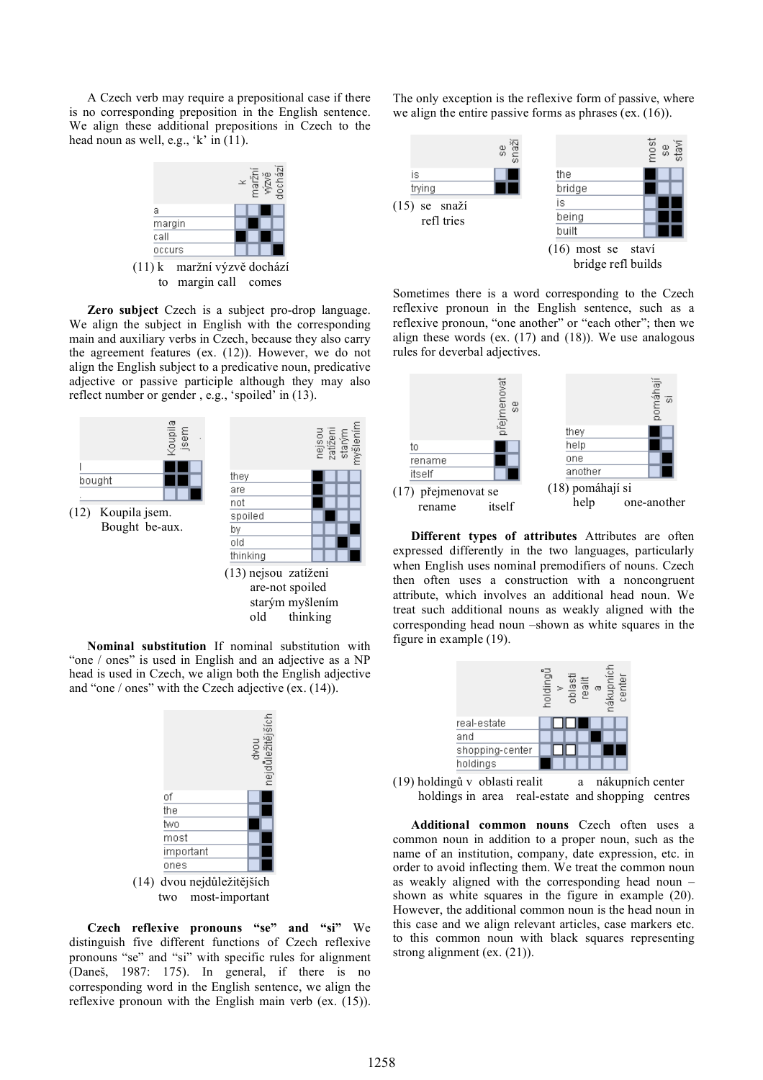A Czech verb may require a prepositional case if there is no corresponding preposition in the English sentence. We align these additional prepositions in Czech to the head noun as well, e.g., 'k' in (11).



to margin call comes

**Zero subject** Czech is a subject pro-drop language. We align the subject in English with the corresponding main and auxiliary verbs in Czech, because they also carry the agreement features (ex. (12)). However, we do not align the English subject to a predicative noun, predicative adjective or passive participle although they may also reflect number or gender , e.g., 'spoiled' in (13).



**Nominal substitution** If nominal substitution with "one / ones" is used in English and an adjective as a NP head is used in Czech, we align both the English adjective and "one / ones" with the Czech adjective (ex. (14)).



**Czech reflexive pronouns "se" and "si"** We distinguish five different functions of Czech reflexive pronouns "se" and "si" with specific rules for alignment (Daneš, 1987: 175). In general, if there is no corresponding word in the English sentence, we align the reflexive pronoun with the English main verb (ex. (15)).

The only exception is the reflexive form of passive, where we align the entire passive forms as phrases (ex. (16)).



Sometimes there is a word corresponding to the Czech reflexive pronoun in the English sentence, such as a reflexive pronoun, "one another" or "each other"; then we align these words (ex.  $(17)$  and  $(18)$ ). We use analogous rules for deverbal adjectives.



**Different types of attributes** Attributes are often expressed differently in the two languages, particularly when English uses nominal premodifiers of nouns. Czech then often uses a construction with a noncongruent attribute, which involves an additional head noun. We treat such additional nouns as weakly aligned with the corresponding head noun –shown as white squares in the figure in example (19).



(19) holdingů v oblasti realit a nákupních center holdings in area real-estate and shopping centres

**Additional common nouns** Czech often uses a common noun in addition to a proper noun, such as the name of an institution, company, date expression, etc. in order to avoid inflecting them. We treat the common noun as weakly aligned with the corresponding head noun – shown as white squares in the figure in example (20). However, the additional common noun is the head noun in this case and we align relevant articles, case markers etc. to this common noun with black squares representing strong alignment (ex. (21)).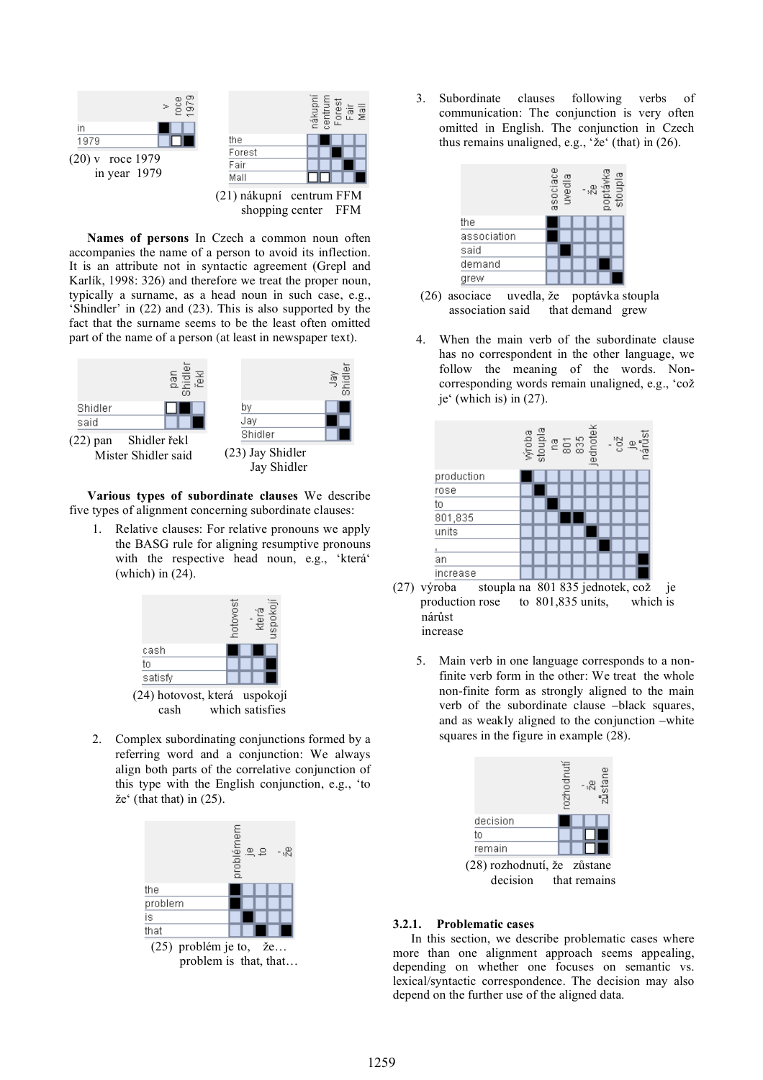

**Names of persons** In Czech a common noun often accompanies the name of a person to avoid its inflection. It is an attribute not in syntactic agreement (Grepl and Karlík, 1998: 326) and therefore we treat the proper noun, typically a surname, as a head noun in such case, e.g., 'Shindler' in (22) and (23). This is also supported by the fact that the surname seems to be the least often omitted part of the name of a person (at least in newspaper text).



**Various types of subordinate clauses** We describe five types of alignment concerning subordinate clauses:

1. Relative clauses: For relative pronouns we apply the BASG rule for aligning resumptive pronouns with the respective head noun, e.g., 'která' (which) in (24).



2. Complex subordinating conjunctions formed by a referring word and a conjunction: We always align both parts of the correlative conjunction of this type with the English conjunction, e.g., 'to že' (that that) in (25).



problem is that, that…

3. Subordinate clauses following verbs of communication: The conjunction is very often omitted in English. The conjunction in Czech thus remains unaligned, e.g., 'že' (that) in (26).



(26) asociace uvedla, že poptávka stoupla association said that demand grew

4. When the main verb of the subordinate clause has no correspondent in the other language, we follow the meaning of the words. Noncorresponding words remain unaligned, e.g., 'což je' (which is) in (27).



- production rose to 801,835 units, which is nárůst increase
	- 5. Main verb in one language corresponds to a nonfinite verb form in the other: We treat the whole non-finite form as strongly aligned to the main verb of the subordinate clause –black squares, and as weakly aligned to the conjunction –white squares in the figure in example (28).



#### **3.2.1. Problematic cases**

In this section, we describe problematic cases where more than one alignment approach seems appealing, depending on whether one focuses on semantic vs. lexical/syntactic correspondence. The decision may also depend on the further use of the aligned data.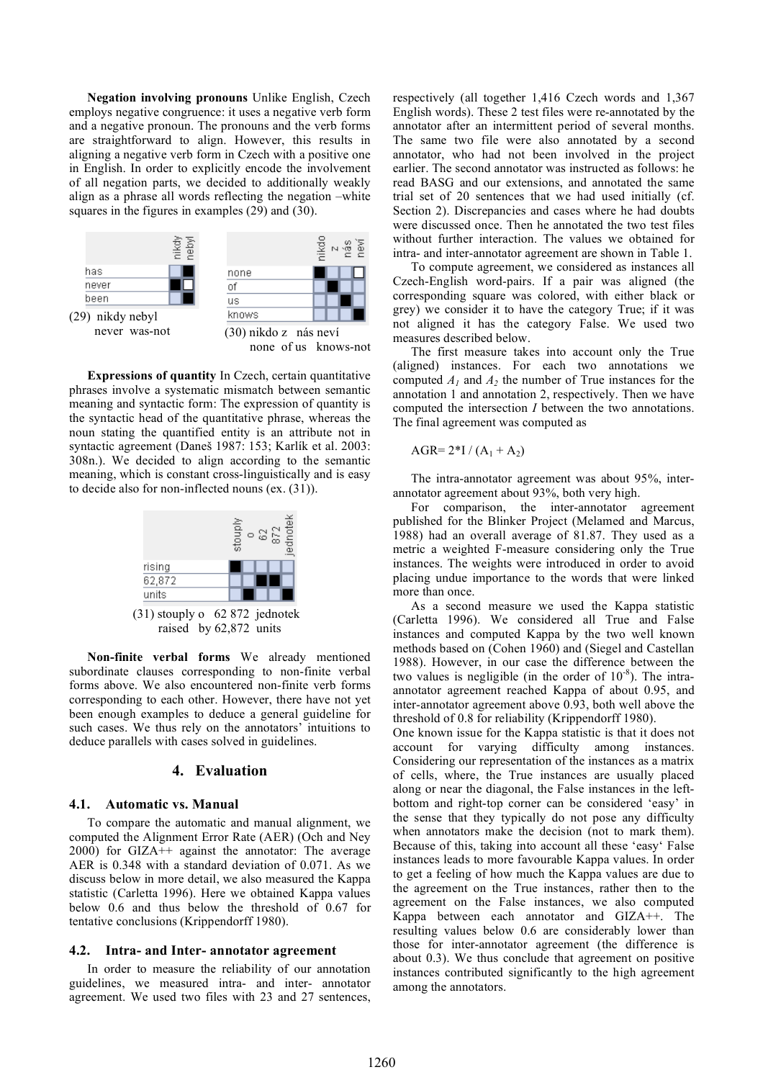**Negation involving pronouns** Unlike English, Czech employs negative congruence: it uses a negative verb form and a negative pronoun. The pronouns and the verb forms are straightforward to align. However, this results in aligning a negative verb form in Czech with a positive one in English. In order to explicitly encode the involvement of all negation parts, we decided to additionally weakly align as a phrase all words reflecting the negation –white squares in the figures in examples (29) and (30).



**Expressions of quantity** In Czech, certain quantitative phrases involve a systematic mismatch between semantic meaning and syntactic form: The expression of quantity is the syntactic head of the quantitative phrase, whereas the noun stating the quantified entity is an attribute not in syntactic agreement (Daneš 1987: 153; Karlík et al. 2003: 308n.). We decided to align according to the semantic meaning, which is constant cross-linguistically and is easy to decide also for non-inflected nouns (ex. (31)).



raised by 62,872 units

**Non-finite verbal forms** We already mentioned subordinate clauses corresponding to non-finite verbal forms above. We also encountered non-finite verb forms corresponding to each other. However, there have not yet been enough examples to deduce a general guideline for such cases. We thus rely on the annotators' intuitions to deduce parallels with cases solved in guidelines.

# **4. Evaluation**

#### **4.1. Automatic vs. Manual**

To compare the automatic and manual alignment, we computed the Alignment Error Rate (AER) (Och and Ney 2000) for GIZA++ against the annotator: The average AER is 0.348 with a standard deviation of 0.071. As we discuss below in more detail, we also measured the Kappa statistic (Carletta 1996). Here we obtained Kappa values below 0.6 and thus below the threshold of 0.67 for tentative conclusions (Krippendorff 1980).

#### **4.2. Intra- and Inter- annotator agreement**

In order to measure the reliability of our annotation guidelines, we measured intra- and inter- annotator agreement. We used two files with 23 and 27 sentences, respectively (all together 1,416 Czech words and 1,367 English words). These 2 test files were re-annotated by the annotator after an intermittent period of several months. The same two file were also annotated by a second annotator, who had not been involved in the project earlier. The second annotator was instructed as follows: he read BASG and our extensions, and annotated the same trial set of 20 sentences that we had used initially (cf. Section 2). Discrepancies and cases where he had doubts were discussed once. Then he annotated the two test files without further interaction. The values we obtained for intra- and inter-annotator agreement are shown in Table 1.

To compute agreement, we considered as instances all Czech-English word-pairs. If a pair was aligned (the corresponding square was colored, with either black or grey) we consider it to have the category True; if it was not aligned it has the category False. We used two measures described below.

The first measure takes into account only the True (aligned) instances. For each two annotations we computed  $A_1$  and  $A_2$  the number of True instances for the annotation 1 and annotation 2, respectively. Then we have computed the intersection *I* between the two annotations. The final agreement was computed as

$$
AGR = 2*I / (A_1 + A_2)
$$

The intra-annotator agreement was about 95%, interannotator agreement about 93%, both very high.

For comparison, the inter-annotator agreement published for the Blinker Project (Melamed and Marcus, 1988) had an overall average of 81.87. They used as a metric a weighted F-measure considering only the True instances. The weights were introduced in order to avoid placing undue importance to the words that were linked more than once.

As a second measure we used the Kappa statistic (Carletta 1996). We considered all True and False instances and computed Kappa by the two well known methods based on (Cohen 1960) and (Siegel and Castellan 1988). However, in our case the difference between the two values is negligible (in the order of  $10^{-8}$ ). The intraannotator agreement reached Kappa of about 0.95, and inter-annotator agreement above 0.93, both well above the threshold of 0.8 for reliability (Krippendorff 1980).

One known issue for the Kappa statistic is that it does not account for varying difficulty among instances. Considering our representation of the instances as a matrix of cells, where, the True instances are usually placed along or near the diagonal, the False instances in the leftbottom and right-top corner can be considered 'easy' in the sense that they typically do not pose any difficulty when annotators make the decision (not to mark them). Because of this, taking into account all these 'easy' False instances leads to more favourable Kappa values. In order to get a feeling of how much the Kappa values are due to the agreement on the True instances, rather then to the agreement on the False instances, we also computed Kappa between each annotator and GIZA++. The resulting values below 0.6 are considerably lower than those for inter-annotator agreement (the difference is about 0.3). We thus conclude that agreement on positive instances contributed significantly to the high agreement among the annotators.